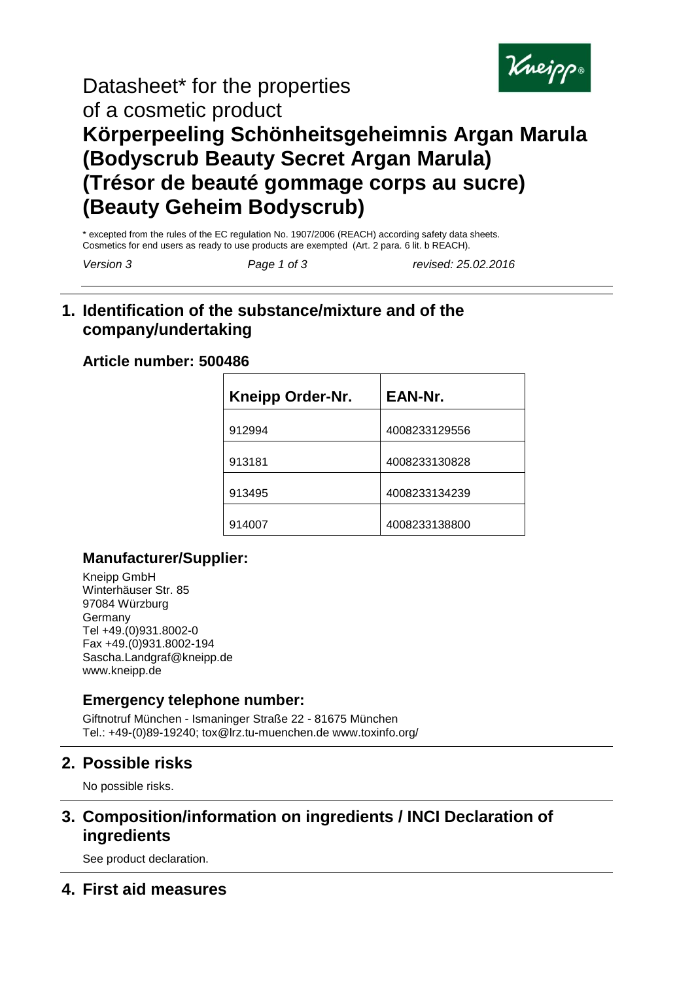

# Datasheet\* for the properties of a cosmetic product **Körperpeeling Schönheitsgeheimnis Argan Marula (Bodyscrub Beauty Secret Argan Marula) (Trésor de beauté gommage corps au sucre) (Beauty Geheim Bodyscrub)**

\* excepted from the rules of the EC regulation No. 1907/2006 (REACH) according safety data sheets. Cosmetics for end users as ready to use products are exempted (Art. 2 para. 6 lit. b REACH).

*Version 3 Page 1 of 3 revised: 25.02.2016*

## **1. Identification of the substance/mixture and of the company/undertaking**

#### **Article number: 500486**

| <b>Kneipp Order-Nr.</b> | EAN-Nr.       |
|-------------------------|---------------|
| 912994                  | 4008233129556 |
| 913181                  | 4008233130828 |
| 913495                  | 4008233134239 |
| 914007                  | 4008233138800 |

#### **Manufacturer/Supplier:**

Kneipp GmbH Winterhäuser Str. 85 97084 Würzburg **Germany** Tel +49.(0)931.8002-0 Fax +49.(0)931.8002-194 Sascha.Landgraf@kneipp.de www.kneipp.de

## **Emergency telephone number:**

Giftnotruf München - Ismaninger Straße 22 - 81675 München Tel.: +49-(0)89-19240; tox@lrz.tu-muenchen.de www.toxinfo.org/

## **2. Possible risks**

No possible risks.

## **3. Composition/information on ingredients / INCI Declaration of ingredients**

See product declaration.

## **4. First aid measures**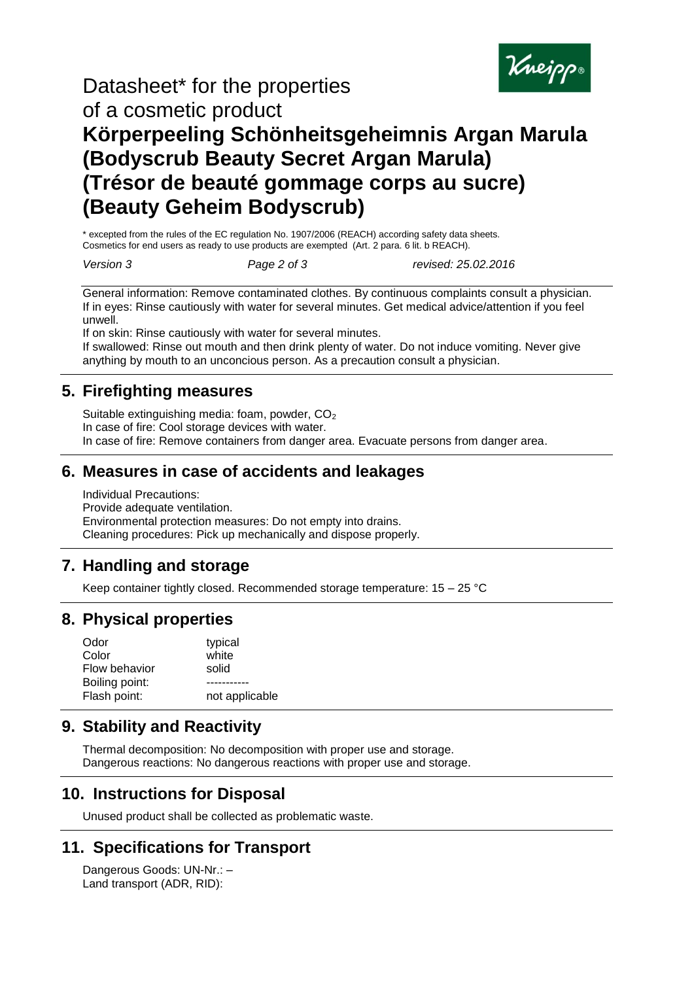

# Datasheet\* for the properties of a cosmetic product **Körperpeeling Schönheitsgeheimnis Argan Marula (Bodyscrub Beauty Secret Argan Marula) (Trésor de beauté gommage corps au sucre) (Beauty Geheim Bodyscrub)**

\* excepted from the rules of the EC regulation No. 1907/2006 (REACH) according safety data sheets. Cosmetics for end users as ready to use products are exempted (Art. 2 para. 6 lit. b REACH).

*Version 3 Page 2 of 3 revised: 25.02.2016*

General information: Remove contaminated clothes. By continuous complaints consult a physician. If in eyes: Rinse cautiously with water for several minutes. Get medical advice/attention if you feel unwell.

If on skin: Rinse cautiously with water for several minutes.

If swallowed: Rinse out mouth and then drink plenty of water. Do not induce vomiting. Never give anything by mouth to an unconcious person. As a precaution consult a physician.

## **5. Firefighting measures**

Suitable extinguishing media: foam, powder,  $CO<sub>2</sub>$ In case of fire: Cool storage devices with water. In case of fire: Remove containers from danger area. Evacuate persons from danger area.

#### **6. Measures in case of accidents and leakages**

Individual Precautions: Provide adequate ventilation. Environmental protection measures: Do not empty into drains. Cleaning procedures: Pick up mechanically and dispose properly.

## **7. Handling and storage**

Keep container tightly closed. Recommended storage temperature: 15 – 25 °C

#### **8. Physical properties**

| Odor           | typical        |
|----------------|----------------|
| Color          | white          |
| Flow behavior  | solid          |
| Boiling point: |                |
| Flash point:   | not applicable |
|                |                |

#### **9. Stability and Reactivity**

Thermal decomposition: No decomposition with proper use and storage. Dangerous reactions: No dangerous reactions with proper use and storage.

## **10. Instructions for Disposal**

Unused product shall be collected as problematic waste.

## **11. Specifications for Transport**

Dangerous Goods: UN-Nr.: – Land transport (ADR, RID):